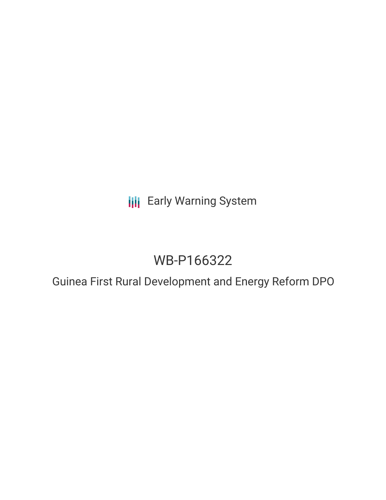**III** Early Warning System

# WB-P166322

Guinea First Rural Development and Energy Reform DPO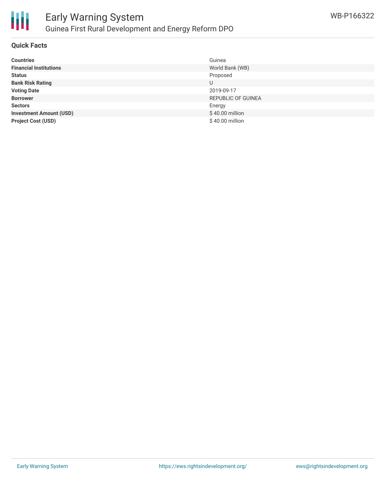

#### **Quick Facts**

| <b>Countries</b>               | Guinea                    |
|--------------------------------|---------------------------|
| <b>Financial Institutions</b>  | World Bank (WB)           |
| <b>Status</b>                  | Proposed                  |
| <b>Bank Risk Rating</b>        | U                         |
| <b>Voting Date</b>             | 2019-09-17                |
| <b>Borrower</b>                | <b>REPUBLIC OF GUINEA</b> |
| <b>Sectors</b>                 | Energy                    |
| <b>Investment Amount (USD)</b> | \$40.00 million           |
| <b>Project Cost (USD)</b>      | \$40.00 million           |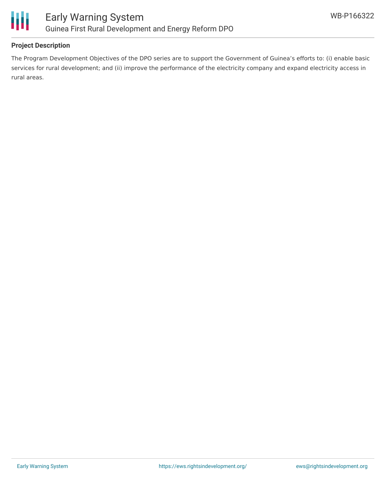

#### **Project Description**

The Program Development Objectives of the DPO series are to support the Government of Guinea's efforts to: (i) enable basic services for rural development; and (ii) improve the performance of the electricity company and expand electricity access in rural areas.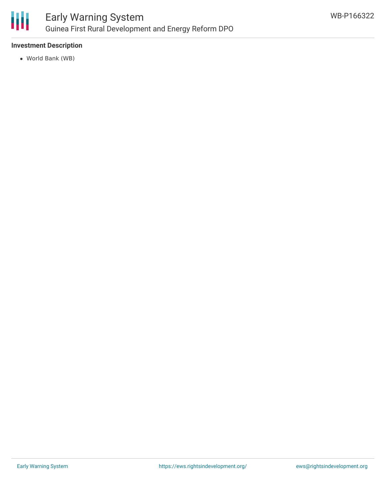

## Early Warning System Guinea First Rural Development and Energy Reform DPO

#### **Investment Description**

World Bank (WB)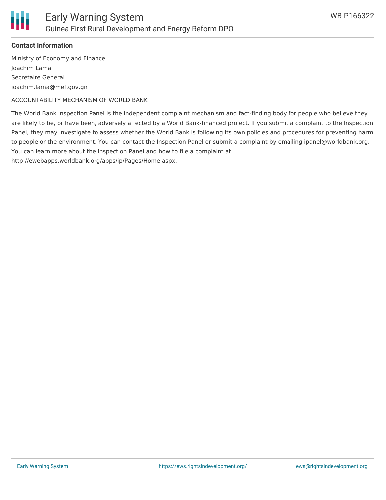

#### **Contact Information**

Ministry of Economy and Finance Joachim Lama Secretaire General joachim.lama@mef.gov.gn

ACCOUNTABILITY MECHANISM OF WORLD BANK

The World Bank Inspection Panel is the independent complaint mechanism and fact-finding body for people who believe they are likely to be, or have been, adversely affected by a World Bank-financed project. If you submit a complaint to the Inspection Panel, they may investigate to assess whether the World Bank is following its own policies and procedures for preventing harm to people or the environment. You can contact the Inspection Panel or submit a complaint by emailing ipanel@worldbank.org. You can learn more about the Inspection Panel and how to file a complaint at:

http://ewebapps.worldbank.org/apps/ip/Pages/Home.aspx.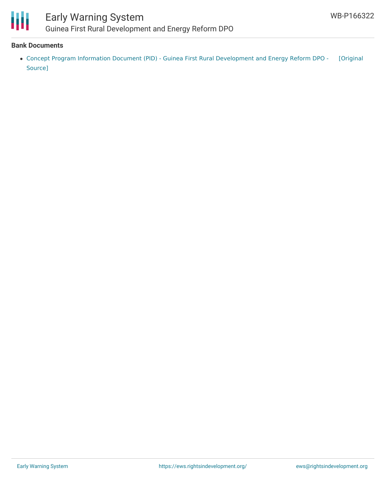

### Early Warning System Guinea First Rural Development and Energy Reform DPO

#### **Bank Documents**

Concept Program Information Document (PID) - Guinea First Rural [Development](https://ewsdata.rightsindevelopment.org/files/documents/22/WB-P166322.pdf) and Energy Reform DPO - [Original Source]